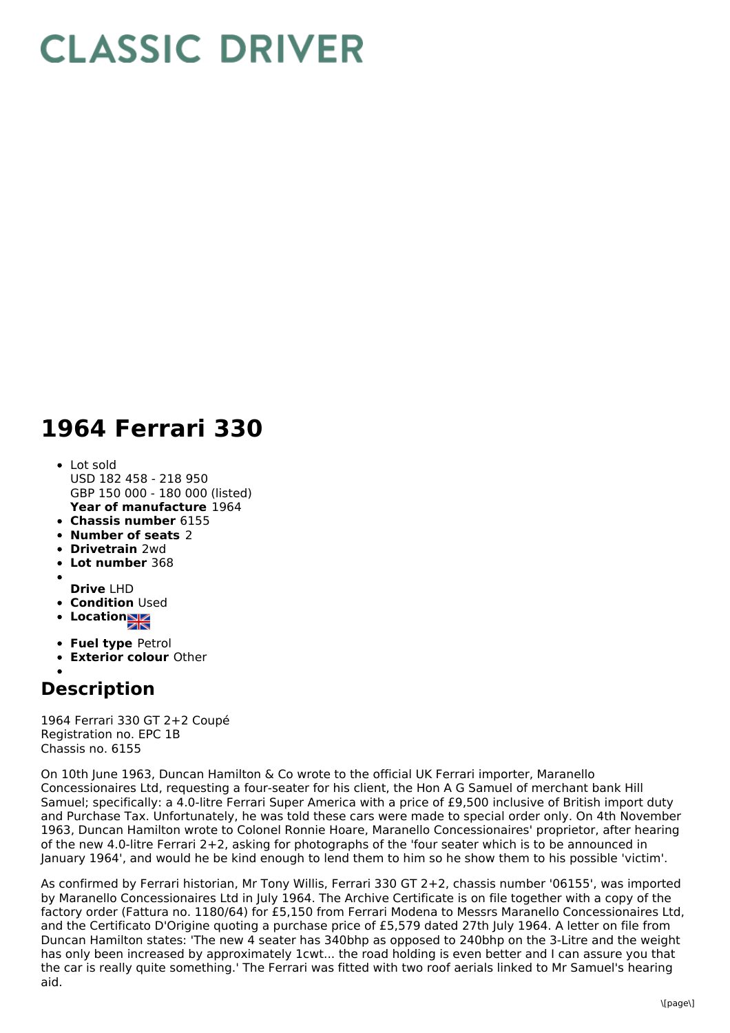## **CLASSIC DRIVER**

## **1964 Ferrari 330**

- **Year of manufacture** 1964 Lot sold USD 182 458 - 218 950 GBP 150 000 - 180 000 (listed)
- **Chassis number** 6155
- **Number of seats** 2
- **Drivetrain** 2wd
- **Lot number** 368
- **Drive** LHD
- **Condition** Used
- **Location**
- 
- **Fuel type** Petrol
- **Exterior colour** Other

## **Description**

1964 Ferrari 330 GT 2+2 Coupé Registration no. EPC 1B Chassis no. 6155

On 10th June 1963, Duncan Hamilton & Co wrote to the official UK Ferrari importer, Maranello Concessionaires Ltd, requesting a four-seater for his client, the Hon A G Samuel of merchant bank Hill Samuel; specifically: a 4.0-litre Ferrari Super America with a price of £9,500 inclusive of British import duty and Purchase Tax. Unfortunately, he was told these cars were made to special order only. On 4th November 1963, Duncan Hamilton wrote to Colonel Ronnie Hoare, Maranello Concessionaires' proprietor, after hearing of the new 4.0-litre Ferrari 2+2, asking for photographs of the 'four seater which is to be announced in January 1964', and would he be kind enough to lend them to him so he show them to his possible 'victim'.

As confirmed by Ferrari historian, Mr Tony Willis, Ferrari 330 GT 2+2, chassis number '06155', was imported by Maranello Concessionaires Ltd in July 1964. The Archive Certificate is on file together with a copy of the factory order (Fattura no. 1180/64) for £5,150 from Ferrari Modena to Messrs Maranello Concessionaires Ltd, and the Certificato D'Origine quoting a purchase price of £5,579 dated 27th July 1964. A letter on file from Duncan Hamilton states: 'The new 4 seater has 340bhp as opposed to 240bhp on the 3-Litre and the weight has only been increased by approximately 1cwt... the road holding is even better and I can assure you that the car is really quite something.' The Ferrari was fitted with two roof aerials linked to Mr Samuel's hearing aid.